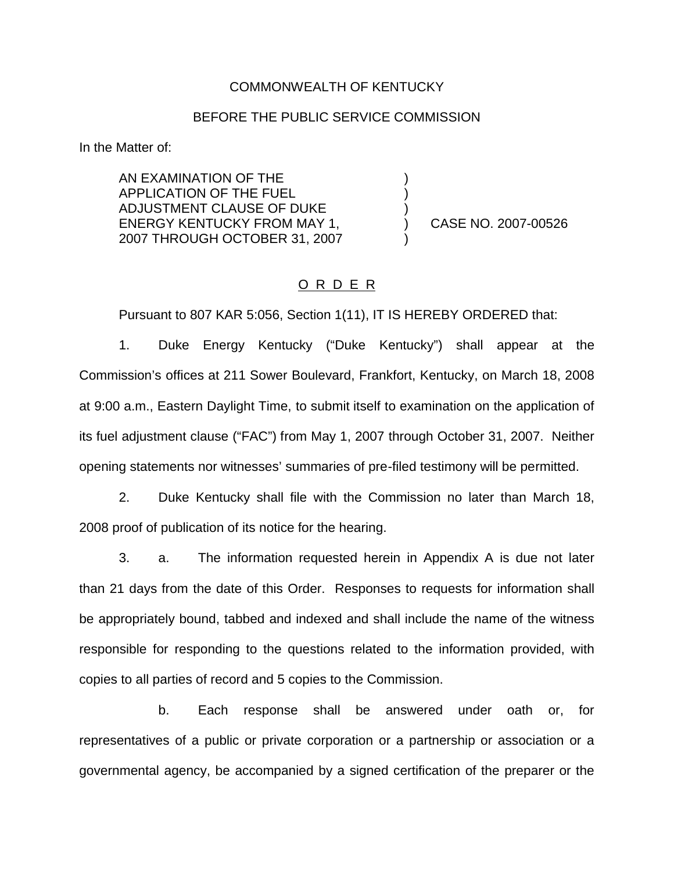#### COMMONWEALTH OF KENTUCKY

### BEFORE THE PUBLIC SERVICE COMMISSION

) ) )

)

In the Matter of:

AN EXAMINATION OF THE APPLICATION OF THE FUEL ADJUSTMENT CLAUSE OF DUKE ENERGY KENTUCKY FROM MAY 1, 2007 THROUGH OCTOBER 31, 2007

) CASE NO. 2007-00526

# O R D E R

Pursuant to 807 KAR 5:056, Section 1(11), IT IS HEREBY ORDERED that:

1. Duke Energy Kentucky ("Duke Kentucky") shall appear at the Commission's offices at 211 Sower Boulevard, Frankfort, Kentucky, on March 18, 2008 at 9:00 a.m., Eastern Daylight Time, to submit itself to examination on the application of its fuel adjustment clause ("FAC") from May 1, 2007 through October 31, 2007. Neither opening statements nor witnesses' summaries of pre-filed testimony will be permitted.

2. Duke Kentucky shall file with the Commission no later than March 18, 2008 proof of publication of its notice for the hearing.

3. a. The information requested herein in Appendix A is due not later than 21 days from the date of this Order. Responses to requests for information shall be appropriately bound, tabbed and indexed and shall include the name of the witness responsible for responding to the questions related to the information provided, with copies to all parties of record and 5 copies to the Commission.

b. Each response shall be answered under oath or, for representatives of a public or private corporation or a partnership or association or a governmental agency, be accompanied by a signed certification of the preparer or the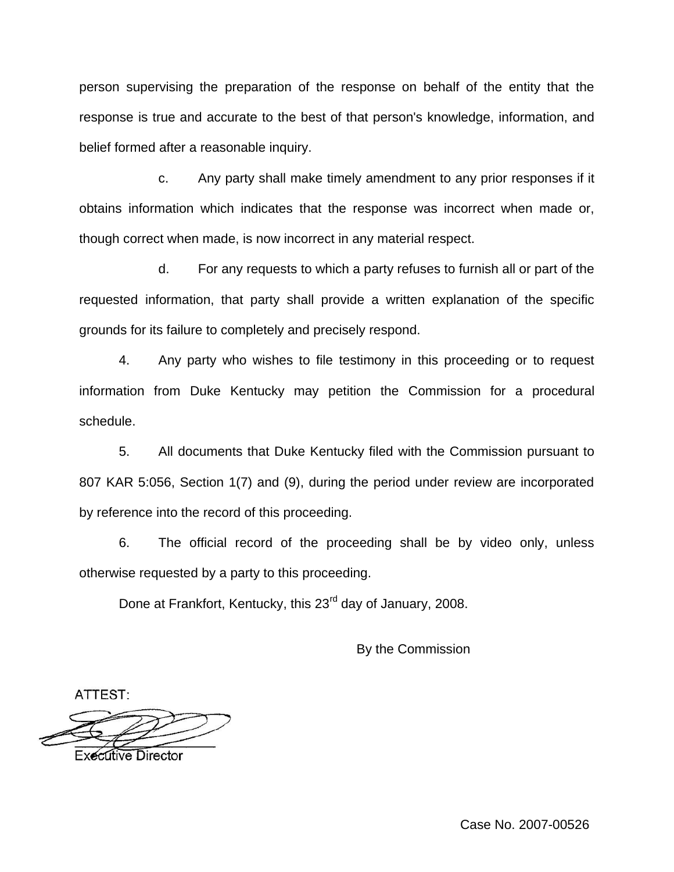person supervising the preparation of the response on behalf of the entity that the response is true and accurate to the best of that person's knowledge, information, and belief formed after a reasonable inquiry.

c. Any party shall make timely amendment to any prior responses if it obtains information which indicates that the response was incorrect when made or, though correct when made, is now incorrect in any material respect.

d. For any requests to which a party refuses to furnish all or part of the requested information, that party shall provide a written explanation of the specific grounds for its failure to completely and precisely respond.

4. Any party who wishes to file testimony in this proceeding or to request information from Duke Kentucky may petition the Commission for a procedural schedule.

5. All documents that Duke Kentucky filed with the Commission pursuant to 807 KAR 5:056, Section 1(7) and (9), during the period under review are incorporated by reference into the record of this proceeding.

6. The official record of the proceeding shall be by video only, unless otherwise requested by a party to this proceeding.

Done at Frankfort, Kentucky, this 23<sup>rd</sup> day of January, 2008.

By the Commission

ATTEST:

**Executive Director** 

Case No. 2007-00526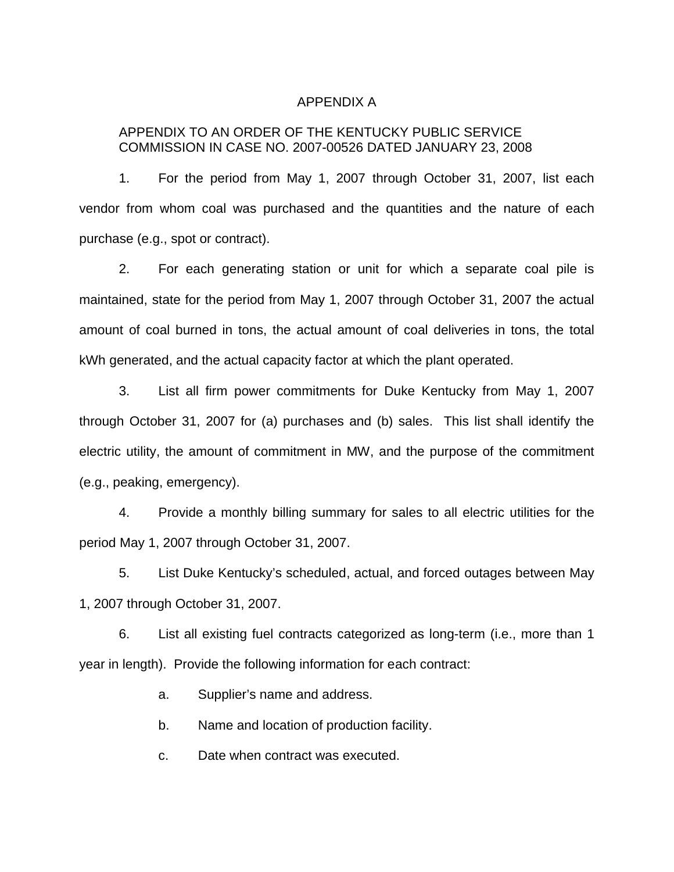### APPENDIX A

## APPENDIX TO AN ORDER OF THE KENTUCKY PUBLIC SERVICE COMMISSION IN CASE NO. 2007-00526 DATED JANUARY 23, 2008

1. For the period from May 1, 2007 through October 31, 2007, list each vendor from whom coal was purchased and the quantities and the nature of each purchase (e.g., spot or contract).

2. For each generating station or unit for which a separate coal pile is maintained, state for the period from May 1, 2007 through October 31, 2007 the actual amount of coal burned in tons, the actual amount of coal deliveries in tons, the total kWh generated, and the actual capacity factor at which the plant operated.

3. List all firm power commitments for Duke Kentucky from May 1, 2007 through October 31, 2007 for (a) purchases and (b) sales. This list shall identify the electric utility, the amount of commitment in MW, and the purpose of the commitment (e.g., peaking, emergency).

4. Provide a monthly billing summary for sales to all electric utilities for the period May 1, 2007 through October 31, 2007.

5. List Duke Kentucky's scheduled, actual, and forced outages between May 1, 2007 through October 31, 2007.

6. List all existing fuel contracts categorized as long-term (i.e., more than 1 year in length). Provide the following information for each contract:

a. Supplier's name and address.

b. Name and location of production facility.

c. Date when contract was executed.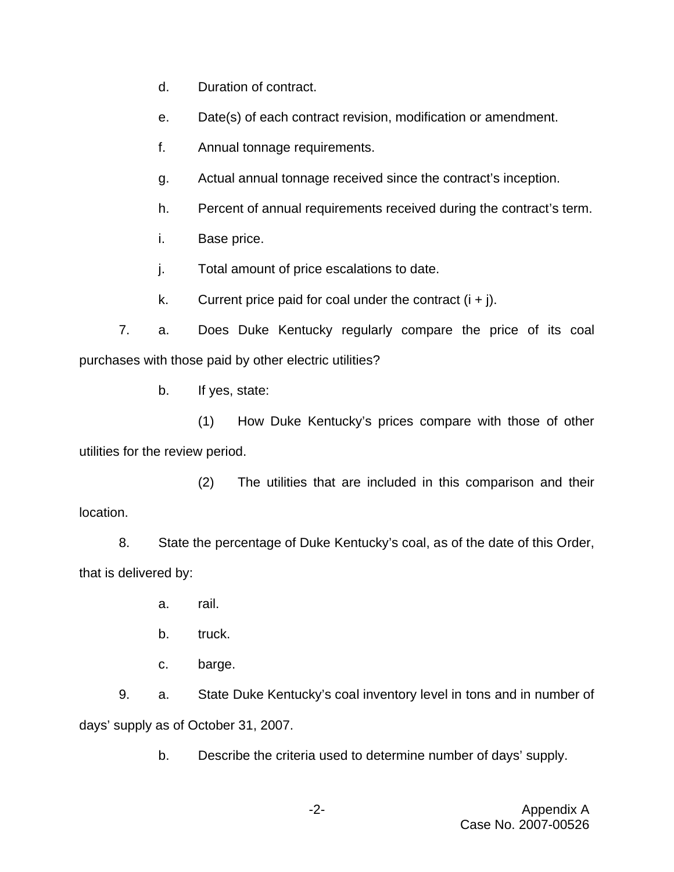- d. Duration of contract.
- e. Date(s) of each contract revision, modification or amendment.
- f. Annual tonnage requirements.
- g. Actual annual tonnage received since the contract's inception.
- h. Percent of annual requirements received during the contract's term.
- i. Base price.
- j. Total amount of price escalations to date.
- k. Current price paid for coal under the contract  $(i + j)$ .

7. a. Does Duke Kentucky regularly compare the price of its coal purchases with those paid by other electric utilities?

b. If yes, state:

(1) How Duke Kentucky's prices compare with those of other utilities for the review period.

(2) The utilities that are included in this comparison and their location.

8. State the percentage of Duke Kentucky's coal, as of the date of this Order, that is delivered by:

- a. rail.
- b. truck.
- c. barge.

9. a. State Duke Kentucky's coal inventory level in tons and in number of days' supply as of October 31, 2007.

b. Describe the criteria used to determine number of days' supply.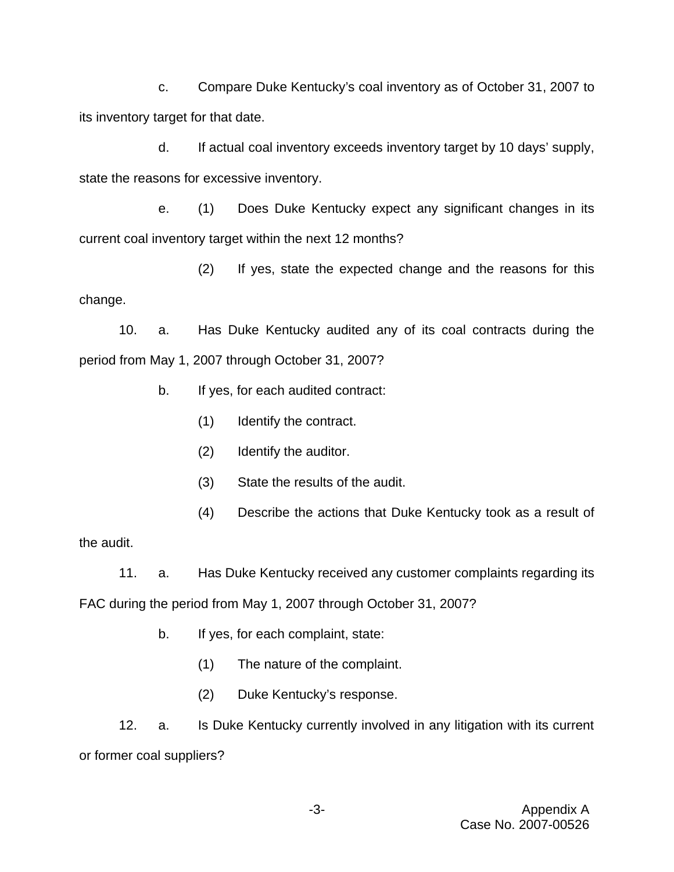c. Compare Duke Kentucky's coal inventory as of October 31, 2007 to its inventory target for that date.

d. If actual coal inventory exceeds inventory target by 10 days' supply, state the reasons for excessive inventory.

e. (1) Does Duke Kentucky expect any significant changes in its current coal inventory target within the next 12 months?

(2) If yes, state the expected change and the reasons for this change.

10. a. Has Duke Kentucky audited any of its coal contracts during the period from May 1, 2007 through October 31, 2007?

- b. If yes, for each audited contract:
	- (1) Identify the contract.
	- (2) Identify the auditor.
	- (3) State the results of the audit.
	- (4) Describe the actions that Duke Kentucky took as a result of

the audit.

11. a. Has Duke Kentucky received any customer complaints regarding its

FAC during the period from May 1, 2007 through October 31, 2007?

- b. If yes, for each complaint, state:
	- (1) The nature of the complaint.
	- (2) Duke Kentucky's response.

12. a. Is Duke Kentucky currently involved in any litigation with its current or former coal suppliers?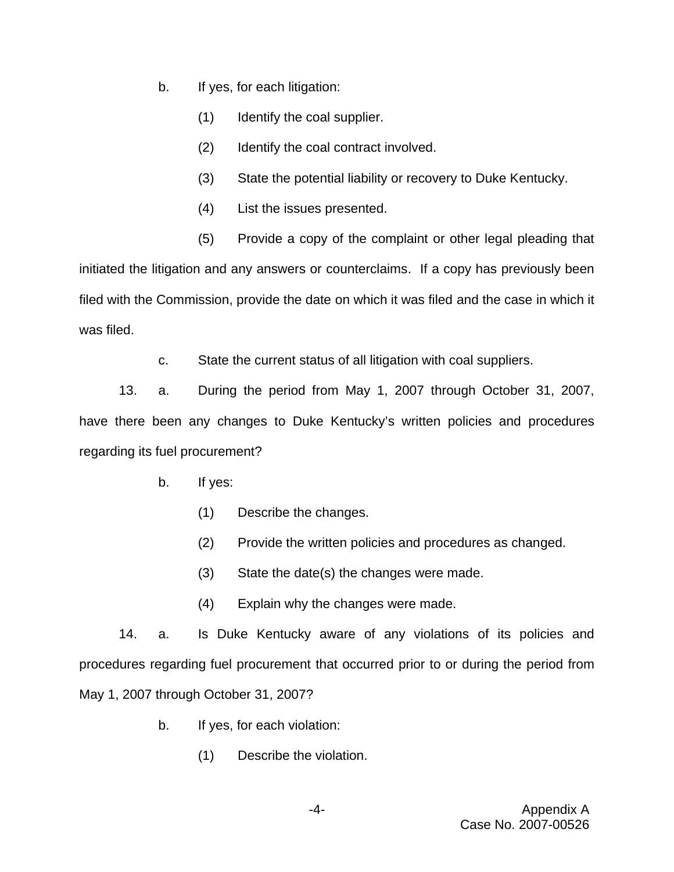- b. If yes, for each litigation:
	- (1) Identify the coal supplier.
	- (2) Identify the coal contract involved.
	- (3) State the potential liability or recovery to Duke Kentucky.
	- (4) List the issues presented.
	- (5) Provide a copy of the complaint or other legal pleading that

initiated the litigation and any answers or counterclaims. If a copy has previously been filed with the Commission, provide the date on which it was filed and the case in which it was filed.

c. State the current status of all litigation with coal suppliers.

13. a. During the period from May 1, 2007 through October 31, 2007, have there been any changes to Duke Kentucky's written policies and procedures regarding its fuel procurement?

- b. If yes:
	- (1) Describe the changes.
	- (2) Provide the written policies and procedures as changed.
	- (3) State the date(s) the changes were made.
	- (4) Explain why the changes were made.

14. a. Is Duke Kentucky aware of any violations of its policies and procedures regarding fuel procurement that occurred prior to or during the period from May 1, 2007 through October 31, 2007?

- b. If yes, for each violation:
	- (1) Describe the violation.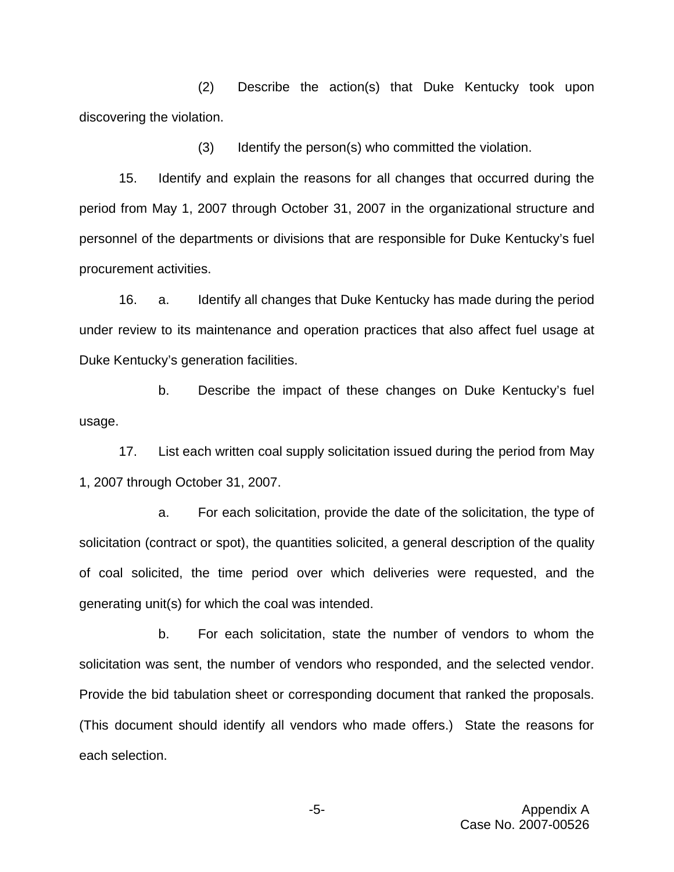(2) Describe the action(s) that Duke Kentucky took upon discovering the violation.

(3) Identify the person(s) who committed the violation.

15. Identify and explain the reasons for all changes that occurred during the period from May 1, 2007 through October 31, 2007 in the organizational structure and personnel of the departments or divisions that are responsible for Duke Kentucky's fuel procurement activities.

16. a. Identify all changes that Duke Kentucky has made during the period under review to its maintenance and operation practices that also affect fuel usage at Duke Kentucky's generation facilities.

b. Describe the impact of these changes on Duke Kentucky's fuel usage.

17. List each written coal supply solicitation issued during the period from May 1, 2007 through October 31, 2007.

a. For each solicitation, provide the date of the solicitation, the type of solicitation (contract or spot), the quantities solicited, a general description of the quality of coal solicited, the time period over which deliveries were requested, and the generating unit(s) for which the coal was intended.

b. For each solicitation, state the number of vendors to whom the solicitation was sent, the number of vendors who responded, and the selected vendor. Provide the bid tabulation sheet or corresponding document that ranked the proposals. (This document should identify all vendors who made offers.) State the reasons for each selection.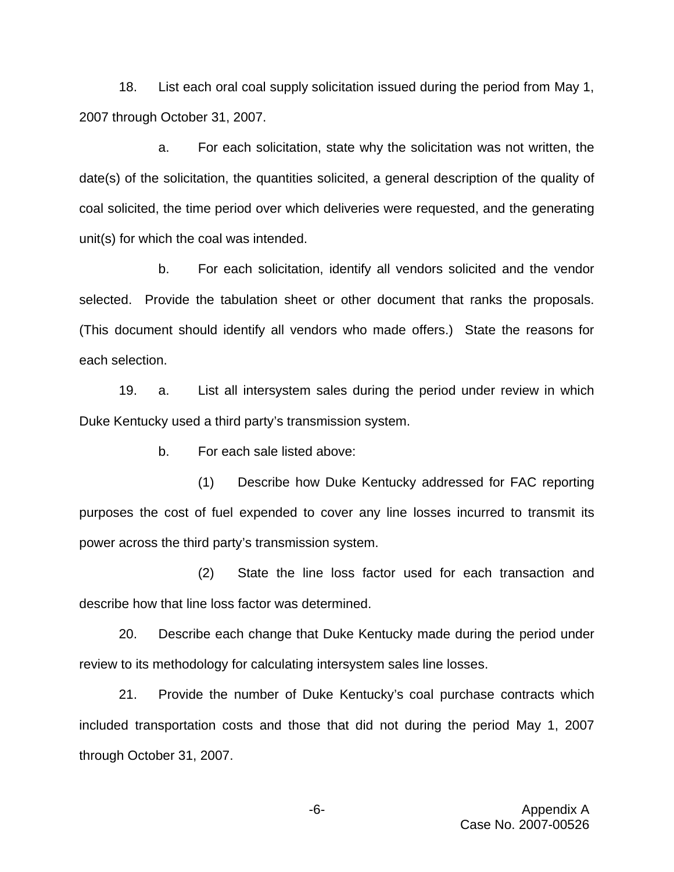18. List each oral coal supply solicitation issued during the period from May 1, 2007 through October 31, 2007.

a. For each solicitation, state why the solicitation was not written, the date(s) of the solicitation, the quantities solicited, a general description of the quality of coal solicited, the time period over which deliveries were requested, and the generating unit(s) for which the coal was intended.

b. For each solicitation, identify all vendors solicited and the vendor selected. Provide the tabulation sheet or other document that ranks the proposals. (This document should identify all vendors who made offers.) State the reasons for each selection.

19. a. List all intersystem sales during the period under review in which Duke Kentucky used a third party's transmission system.

b. For each sale listed above:

(1) Describe how Duke Kentucky addressed for FAC reporting purposes the cost of fuel expended to cover any line losses incurred to transmit its power across the third party's transmission system.

(2) State the line loss factor used for each transaction and describe how that line loss factor was determined.

20. Describe each change that Duke Kentucky made during the period under review to its methodology for calculating intersystem sales line losses.

21. Provide the number of Duke Kentucky's coal purchase contracts which included transportation costs and those that did not during the period May 1, 2007 through October 31, 2007.